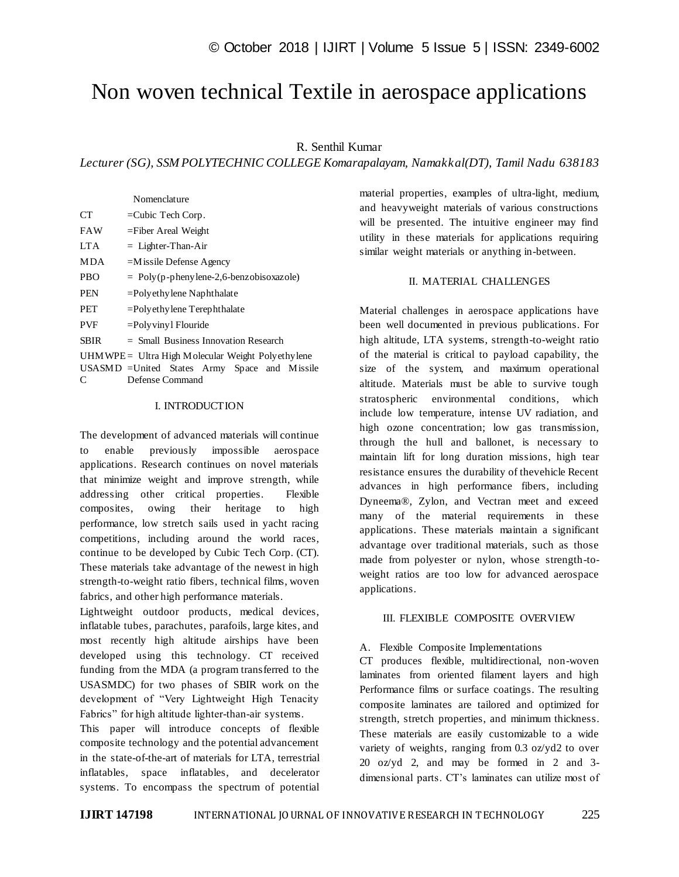# Non woven technical Textile in aerospace applications

## R. Senthil Kumar

*Lecturer (SG), SSM POLYTECHNIC COLLEGE Komarapalayam, Namakkal(DT), Tamil Nadu 638183*

|             | Nomenclature                                      |  |  |
|-------------|---------------------------------------------------|--|--|
| <b>CT</b>   | $=$ Cubic Tech Corp.                              |  |  |
| FAW         | $=$ Fiber Areal Weight                            |  |  |
| LTA         | $=$ Lighter-Than-Air                              |  |  |
| MDA         | $=M$ issile Defense Agency                        |  |  |
| PBO         | $=$ Poly(p-phenylene-2,6-benzobisoxazole)         |  |  |
| PEN         | $=$ Polyethylene Naphthalate                      |  |  |
| PET         | $=$ Polyethylene Terephthalate                    |  |  |
| <b>PVF</b>  | $=$ Poly viny l Flouride                          |  |  |
| <b>SBIR</b> | $=$ Small Business Innovation Research            |  |  |
|             | UHMWPE = Ultra High Molecular Weight Polyethylene |  |  |
|             | USASMD = United States Army Space and Missile     |  |  |
| C           | Defense Command                                   |  |  |

#### I. INTRODUCTION

The development of advanced materials will continue to enable previously impossible aerospace applications. Research continues on novel materials that minimize weight and improve strength, while addressing other critical properties. Flexible composites, owing their heritage to high performance, low stretch sails used in yacht racing competitions, including around the world races, continue to be developed by Cubic Tech Corp. (CT). These materials take advantage of the newest in high strength-to-weight ratio fibers, technical films, woven fabrics, and other high performance materials.

Lightweight outdoor products, medical devices, inflatable tubes, parachutes, parafoils, large kites, and most recently high altitude airships have been developed using this technology. CT received funding from the MDA (a program transferred to the USASMDC) for two phases of SBIR work on the development of "Very Lightweight High Tenacity Fabrics" for high altitude lighter-than-air systems.

This paper will introduce concepts of flexible composite technology and the potential advancement in the state-of-the-art of materials for LTA, terrestrial inflatables, space inflatables, and decelerator systems. To encompass the spectrum of potential

material properties, examples of ultra-light, medium, and heavyweight materials of various constructions will be presented. The intuitive engineer may find utility in these materials for applications requiring similar weight materials or anything in-between.

#### II. MATERIAL CHALLENGES

Material challenges in aerospace applications have been well documented in previous publications. For high altitude, LTA systems, strength-to-weight ratio of the material is critical to payload capability, the size of the system, and maximum operational altitude. Materials must be able to survive tough stratospheric environmental conditions, which include low temperature, intense UV radiation, and high ozone concentration; low gas transmission, through the hull and ballonet, is necessary to maintain lift for long duration missions, high tear resistance ensures the durability of thevehicle Recent advances in high performance fibers, including Dyneema®, Zylon, and Vectran meet and exceed many of the material requirements in these applications. These materials maintain a significant advantage over traditional materials, such as those made from polyester or nylon, whose strength-toweight ratios are too low for advanced aerospace applications.

#### III. FLEXIBLE COMPOSITE OVERVIEW

#### A. Flexible Composite Implementations

CT produces flexible, multidirectional, non-woven laminates from oriented filament layers and high Performance films or surface coatings. The resulting composite laminates are tailored and optimized for strength, stretch properties, and minimum thickness. These materials are easily customizable to a wide variety of weights, ranging from 0.3 oz/yd2 to over 20 oz/yd 2, and may be formed in 2 and 3 dimensional parts. CT's laminates can utilize most of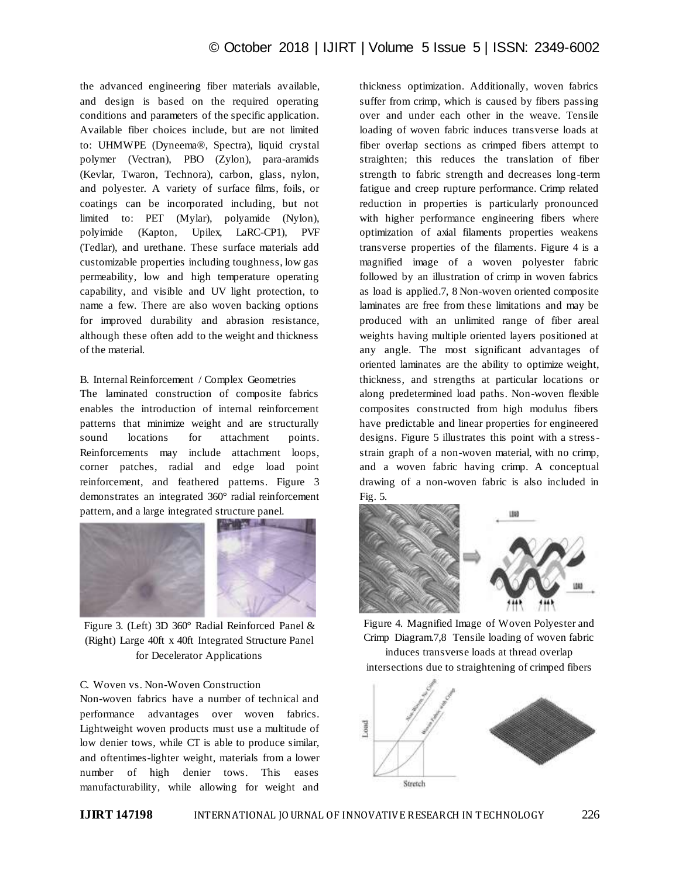the advanced engineering fiber materials available, and design is based on the required operating conditions and parameters of the specific application. Available fiber choices include, but are not limited to: UHMWPE (Dyneema®, Spectra), liquid crystal polymer (Vectran), PBO (Zylon), para-aramids (Kevlar, Twaron, Technora), carbon, glass, nylon, and polyester. A variety of surface films, foils, or coatings can be incorporated including, but not limited to: PET (Mylar), polyamide (Nylon), polyimide (Kapton, Upilex, LaRC-CP1), PVF (Tedlar), and urethane. These surface materials add customizable properties including toughness, low gas permeability, low and high temperature operating capability, and visible and UV light protection, to name a few. There are also woven backing options for improved durability and abrasion resistance, although these often add to the weight and thickness of the material.

#### B. Internal Reinforcement / Complex Geometries

The laminated construction of composite fabrics enables the introduction of internal reinforcement patterns that minimize weight and are structurally sound locations for attachment points. Reinforcements may include attachment loops, corner patches, radial and edge load point reinforcement, and feathered patterns. Figure 3 demonstrates an integrated 360° radial reinforcement pattern, and a large integrated structure panel.



Figure 3. (Left) 3D 360° Radial Reinforced Panel & (Right) Large 40ft x 40ft Integrated Structure Panel for Decelerator Applications

## C. Woven vs. Non-Woven Construction

Non-woven fabrics have a number of technical and performance advantages over woven fabrics. Lightweight woven products must use a multitude of low denier tows, while CT is able to produce similar, and oftentimes-lighter weight, materials from a lower number of high denier tows. This eases manufacturability, while allowing for weight and

thickness optimization. Additionally, woven fabrics suffer from crimp, which is caused by fibers passing over and under each other in the weave. Tensile loading of woven fabric induces transverse loads at fiber overlap sections as crimped fibers attempt to straighten; this reduces the translation of fiber strength to fabric strength and decreases long-term fatigue and creep rupture performance. Crimp related reduction in properties is particularly pronounced with higher performance engineering fibers where optimization of axial filaments properties weakens transverse properties of the filaments. Figure 4 is a magnified image of a woven polyester fabric followed by an illustration of crimp in woven fabrics as load is applied.7, 8 Non-woven oriented composite laminates are free from these limitations and may be produced with an unlimited range of fiber areal weights having multiple oriented layers positioned at any angle. The most significant advantages of oriented laminates are the ability to optimize weight, thickness, and strengths at particular locations or along predetermined load paths. Non-woven flexible composites constructed from high modulus fibers have predictable and linear properties for engineered designs. Figure 5 illustrates this point with a stressstrain graph of a non-woven material, with no crimp, and a woven fabric having crimp. A conceptual drawing of a non-woven fabric is also included in Fig. 5.



Figure 4. Magnified Image of Woven Polyester and Crimp Diagram.7,8 Tensile loading of woven fabric induces transverse loads at thread overlap intersections due to straightening of crimped fibers

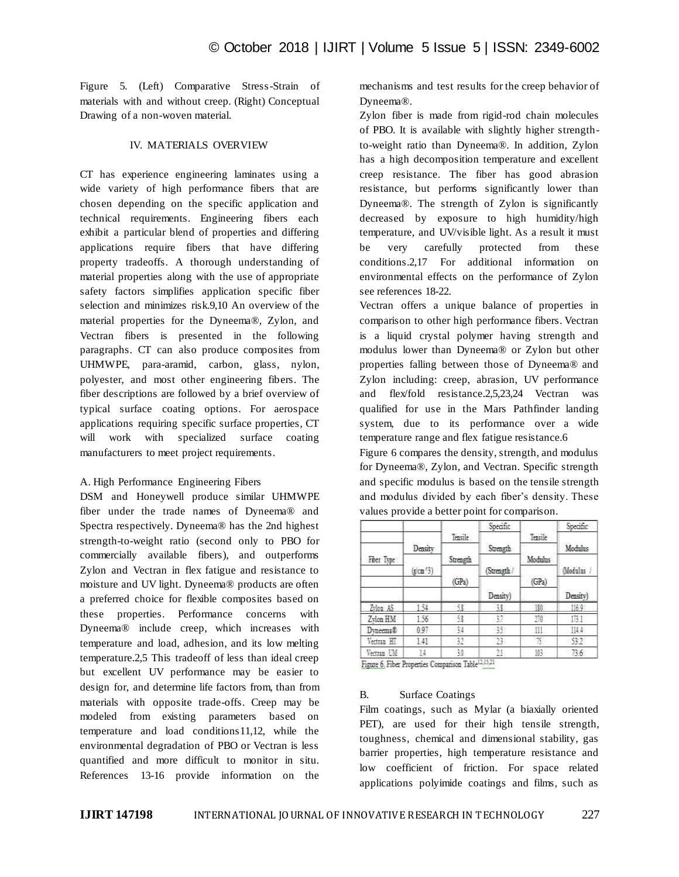Figure 5. (Left) Comparative Stress-Strain of materials with and without creep. (Right) Conceptual Drawing of a non-woven material.

#### IV. MATERIALS OVERVIEW

CT has experience engineering laminates using a wide variety of high performance fibers that are chosen depending on the specific application and technical requirements. Engineering fibers each exhibit a particular blend of properties and differing applications require fibers that have differing property tradeoffs. A thorough understanding of material properties along with the use of appropriate safety factors simplifies application specific fiber selection and minimizes risk.9,10 An overview of the material properties for the Dyneema®, Zylon, and Vectran fibers is presented in the following paragraphs. CT can also produce composites from UHMWPE, para-aramid, carbon, glass, nylon, polyester, and most other engineering fibers. The fiber descriptions are followed by a brief overview of typical surface coating options. For aerospace applications requiring specific surface properties, CT will work with specialized surface coating manufacturers to meet project requirements.

#### A. High Performance Engineering Fibers

DSM and Honeywell produce similar UHMWPE fiber under the trade names of Dyneema® and Spectra respectively. Dyneema® has the 2nd highest strength-to-weight ratio (second only to PBO for commercially available fibers), and outperforms Zylon and Vectran in flex fatigue and resistance to moisture and UV light. Dyneema® products are often a preferred choice for flexible composites based on these properties. Performance concerns with Dyneema® include creep, which increases with temperature and load, adhesion, and its low melting temperature.2,5 This tradeoff of less than ideal creep but excellent UV performance may be easier to design for, and determine life factors from, than from materials with opposite trade-offs. Creep may be modeled from existing parameters based on temperature and load conditions11,12, while the environmental degradation of PBO or Vectran is less quantified and more difficult to monitor in situ. References 13-16 provide information on the

mechanisms and test results for the creep behavior of Dyneema®.

Zylon fiber is made from rigid-rod chain molecules of PBO. It is available with slightly higher strengthto-weight ratio than Dyneema®. In addition, Zylon has a high decomposition temperature and excellent creep resistance. The fiber has good abrasion resistance, but performs significantly lower than Dyneema®. The strength of Zylon is significantly decreased by exposure to high humidity/high temperature, and UV/visible light. As a result it must be very carefully protected from these conditions.2,17 For additional information on environmental effects on the performance of Zylon see references 18-22.

Vectran offers a unique balance of properties in comparison to other high performance fibers. Vectran is a liquid crystal polymer having strength and modulus lower than Dyneema® or Zylon but other properties falling between those of Dyneema® and Zylon including: creep, abrasion, UV performance and flex/fold resistance.2,5,23,24 Vectran was qualified for use in the Mars Pathfinder landing system, due to its performance over a wide temperature range and flex fatigue resistance.6

Figure 6 compares the density, strength, and modulus for Dyneema®, Zylon, and Vectran. Specific strength and specific modulus is based on the tensile strength and modulus divided by each fiber's density. These values provide a better point for comparison.

|              |            |          | Specific |                  | Specific  |
|--------------|------------|----------|----------|------------------|-----------|
|              |            | Tensile  |          | Tensile          |           |
|              | Density    |          | Strength |                  | Modulus   |
| Fiber Type   | $(\sin^2)$ | Strength |          | Modulus<br>(GPa) | Modulus / |
|              |            |          | Strength |                  |           |
|              |            | (GPa)    |          |                  |           |
|              |            |          | Density) |                  | Density)  |
| $L$ lea $A5$ | 154        | 53       | 31       | 120              | 116.9     |
| Zylon HM     | 156        | 58       | 3.7      | 270              | 131       |
| Dyneema®     | 0.97       | 34       | 芀        | m                | 114.4     |
| Vectoran HT  | 141        | 32       | 11.      | Ħ                | 53.2      |
| Vectran UM   | 14         | 頺        | 21       | 103              | 73.6      |

Figure 6. Fiber Properties Companison Table<sup>12,15,21</sup>

# B. Surface Coatings

Film coatings, such as Mylar (a biaxially oriented PET), are used for their high tensile strength, toughness, chemical and dimensional stability, gas barrier properties, high temperature resistance and low coefficient of friction. For space related applications polyimide coatings and films, such as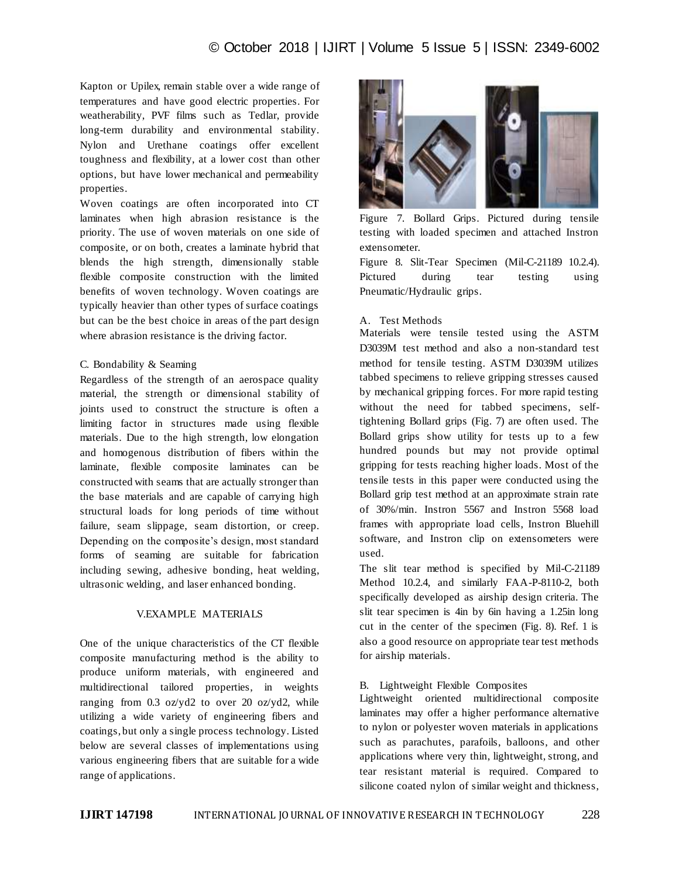Kapton or Upilex, remain stable over a wide range of temperatures and have good electric properties. For weatherability, PVF films such as Tedlar, provide long-term durability and environmental stability. Nylon and Urethane coatings offer excellent toughness and flexibility, at a lower cost than other options, but have lower mechanical and permeability properties.

Woven coatings are often incorporated into CT laminates when high abrasion resistance is the priority. The use of woven materials on one side of composite, or on both, creates a laminate hybrid that blends the high strength, dimensionally stable flexible composite construction with the limited benefits of woven technology. Woven coatings are typically heavier than other types of surface coatings but can be the best choice in areas of the part design where abrasion resistance is the driving factor.

#### C. Bondability & Seaming

Regardless of the strength of an aerospace quality material, the strength or dimensional stability of joints used to construct the structure is often a limiting factor in structures made using flexible materials. Due to the high strength, low elongation and homogenous distribution of fibers within the laminate, flexible composite laminates can be constructed with seams that are actually stronger than the base materials and are capable of carrying high structural loads for long periods of time without failure, seam slippage, seam distortion, or creep. Depending on the composite's design, most standard forms of seaming are suitable for fabrication including sewing, adhesive bonding, heat welding, ultrasonic welding, and laser enhanced bonding.

#### V.EXAMPLE MATERIALS

One of the unique characteristics of the CT flexible composite manufacturing method is the ability to produce uniform materials, with engineered and multidirectional tailored properties, in weights ranging from 0.3 oz/yd2 to over 20 oz/yd2, while utilizing a wide variety of engineering fibers and coatings, but only a single process technology. Listed below are several classes of implementations using various engineering fibers that are suitable for a wide range of applications.



Figure 7. Bollard Grips. Pictured during tensile testing with loaded specimen and attached Instron extensometer.

Figure 8. Slit-Tear Specimen (Mil-C-21189 10.2.4). Pictured during tear testing using Pneumatic/Hydraulic grips.

#### A. Test Methods

Materials were tensile tested using the ASTM D3039M test method and also a non-standard test method for tensile testing. ASTM D3039M utilizes tabbed specimens to relieve gripping stresses caused by mechanical gripping forces. For more rapid testing without the need for tabbed specimens, selftightening Bollard grips (Fig. 7) are often used. The Bollard grips show utility for tests up to a few hundred pounds but may not provide optimal gripping for tests reaching higher loads. Most of the tensile tests in this paper were conducted using the Bollard grip test method at an approximate strain rate of 30%/min. Instron 5567 and Instron 5568 load frames with appropriate load cells, Instron Bluehill software, and Instron clip on extensometers were used.

The slit tear method is specified by Mil-C-21189 Method 10.2.4, and similarly FAA-P-8110-2, both specifically developed as airship design criteria. The slit tear specimen is 4in by 6in having a 1.25in long cut in the center of the specimen (Fig. 8). Ref. 1 is also a good resource on appropriate tear test methods for airship materials.

#### B. Lightweight Flexible Composites

Lightweight oriented multidirectional composite laminates may offer a higher performance alternative to nylon or polyester woven materials in applications such as parachutes, parafoils, balloons, and other applications where very thin, lightweight, strong, and tear resistant material is required. Compared to silicone coated nylon of similar weight and thickness,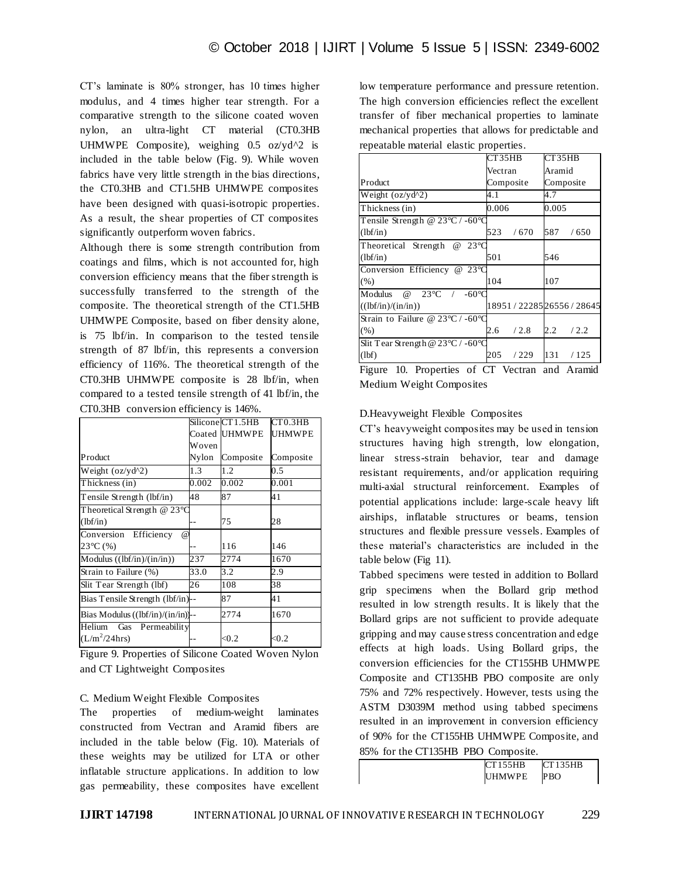CT's laminate is 80% stronger, has 10 times higher modulus, and 4 times higher tear strength. For a comparative strength to the silicone coated woven nylon, an ultra-light CT material (CT0.3HB UHMWPE Composite), weighing  $0.5$  oz/yd<sup> $\wedge$ 2 is</sup> included in the table below (Fig. 9). While woven fabrics have very little strength in the bias directions, the CT0.3HB and CT1.5HB UHMWPE composites have been designed with quasi-isotropic properties. As a result, the shear properties of CT composites significantly outperform woven fabrics.

Although there is some strength contribution from coatings and films, which is not accounted for, high conversion efficiency means that the fiber strength is successfully transferred to the strength of the composite. The theoretical strength of the CT1.5HB UHMWPE Composite, based on fiber density alone, is 75 lbf/in. In comparison to the tested tensile strength of 87 lbf/in, this represents a conversion efficiency of 116%. The theoretical strength of the CT0.3HB UHMWPE composite is 28 lbf/in, when compared to a tested tensile strength of 41 lbf/in, the CT0.3HB conversion efficiency is 146%.

|                                          |              | CT <sub>0.3</sub> HB                                     |
|------------------------------------------|--------------|----------------------------------------------------------|
|                                          |              | <b>UHMWPE</b>                                            |
| Woven                                    |              |                                                          |
| Nylon                                    |              | Composite                                                |
| 1.3                                      | 1.2          | 0.5                                                      |
| 0.002                                    |              | 0.001                                                    |
| 48                                       | 87           | 41                                                       |
| Theoretical Strength $@$ 23 $^{\circ}$ C |              |                                                          |
|                                          | 75           | 28                                                       |
| $\omega$                                 |              |                                                          |
|                                          | 116          | 146                                                      |
| 237                                      | 2774         | 1670                                                     |
| 33.0                                     | 3.2          | 2.9                                                      |
| 26                                       | 108          | 38                                                       |
| Bias Tensile Strength (lbf/in)--         | 87           | 41                                                       |
| Bias Modulus $((lbf/in)/(in/in))$ -      | 2774         | 1670                                                     |
| Helium Gas Permeability                  | $<\!\!\!0.2$ | < 0.2                                                    |
|                                          |              | Silicone CT 1.5HB<br>Coated UHMWPE<br>Composite<br>0.002 |

Figure 9. Properties of Silicone Coated Woven Nylon and CT Lightweight Composites

#### C. Medium Weight Flexible Composites

The properties of medium-weight laminates constructed from Vectran and Aramid fibers are included in the table below (Fig. 10). Materials of these weights may be utilized for LTA or other inflatable structure applications. In addition to low gas permeability, these composites have excellent low temperature performance and pressure retention. The high conversion efficiencies reflect the excellent transfer of fiber mechanical properties to laminate mechanical properties that allows for predictable and repeatable material elastic properties.

|                                                         | CT35HB      | CT35HB                     |
|---------------------------------------------------------|-------------|----------------------------|
|                                                         | Vectran     | Aramid                     |
| Product                                                 | Composite   | Composite                  |
| Weight $(oz/yd^2)$                                      | 4.1         | 4.7                        |
| Thickness (in)                                          | 0.006       | 0.005                      |
| Tensile Strength @ $23^{\circ}$ C / -60°C               |             |                            |
| (lbf/in)                                                | 523<br>/670 | 587<br>/650                |
| $23^{\circ}$ C<br>Theoretical Strength<br>$^{\circ}$    |             |                            |
| (lbf/in)                                                | 501         | 546                        |
| Conversion Efficiency @ 23°C                            |             |                            |
| (% )                                                    | 104         | 107                        |
| $23^{\circ}C$<br>$-60^{\circ}$ C<br>Modulus<br>$\omega$ |             |                            |
| ((lbf/in)/(in/in))                                      |             | 18951 / 2228526556 / 28645 |
| Strain to Failure @ $23^{\circ}$ C / -60°C              |             |                            |
| (% )                                                    | /2.8<br>2.6 | /2.2<br>2.2                |
| Slit Tear Strength @ $23^{\circ}$ C / -60 $^{\circ}$ C  |             |                            |
| (lbf)                                                   | 205<br>/229 | 131<br>/125                |
| $\Gamma$ 10 D $\Gamma$ $\Gamma$ $\Gamma$                |             | $\mathbf{1}$ $\mathbf{1}$  |

Figure 10. Properties of CT Vectran and Aramid Medium Weight Composites

## D.Heavyweight Flexible Composites

CT's heavyweight composites may be used in tension structures having high strength, low elongation, linear stress-strain behavior, tear and damage resistant requirements, and/or application requiring multi-axial structural reinforcement. Examples of potential applications include: large-scale heavy lift airships, inflatable structures or beams, tension structures and flexible pressure vessels. Examples of these material's characteristics are included in the table below (Fig 11).

Tabbed specimens were tested in addition to Bollard grip specimens when the Bollard grip method resulted in low strength results. It is likely that the Bollard grips are not sufficient to provide adequate gripping and may cause stress concentration and edge effects at high loads. Using Bollard grips, the conversion efficiencies for the CT155HB UHMWPE Composite and CT135HB PBO composite are only 75% and 72% respectively. However, tests using the ASTM D3039M method using tabbed specimens resulted in an improvement in conversion efficiency of 90% for the CT155HB UHMWPE Composite, and 85% for the CT135HB PBO Composite.

| CT155HB       | CT135HB |
|---------------|---------|
| <b>IHMWPE</b> | PBO     |